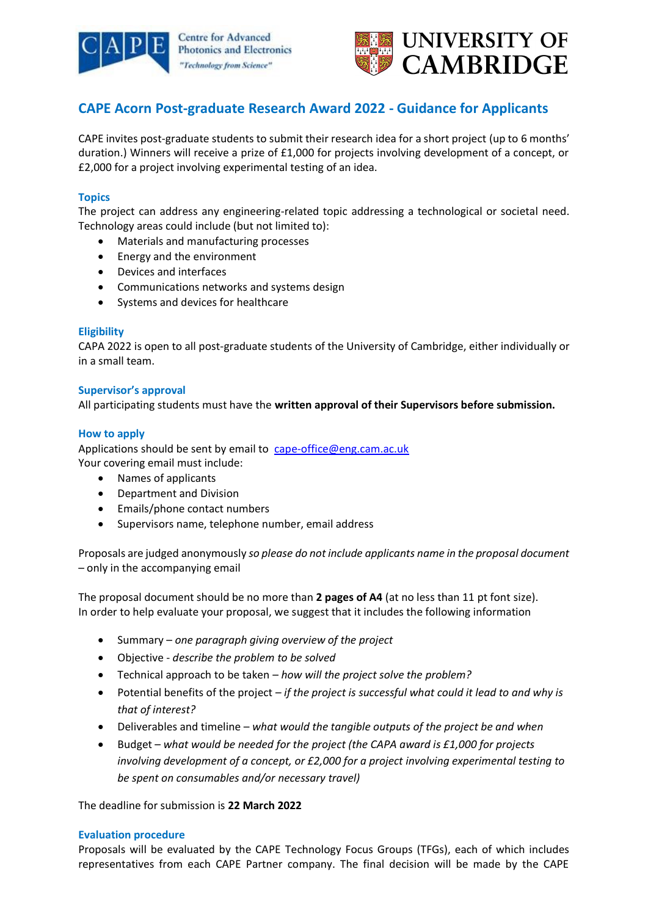



# **CAPE Acorn Post-graduate Research Award 2022 - Guidance for Applicants**

CAPE invites post-graduate students to submit their research idea for a short project (up to 6 months' duration.) Winners will receive a prize of £1,000 for projects involving development of a concept, or £2,000 for a project involving experimental testing of an idea.

## **Topics**

The project can address any engineering-related topic addressing a technological or societal need. Technology areas could include (but not limited to):

- Materials and manufacturing processes
- Energy and the environment
- Devices and interfaces
- Communications networks and systems design
- Systems and devices for healthcare

#### **Eligibility**

CAPA 2022 is open to all post-graduate students of the University of Cambridge, either individually or in a small team.

# **Supervisor's approval**

All participating students must have the **written approval of their Supervisors before submission.**

# **How to apply**

Applications should be sent by email to [cape-office@eng.cam.ac.uk](mailto:cape-office@eng.cam.ac.uk) Your covering email must include:

- Names of applicants
- Department and Division
- Emails/phone contact numbers
- Supervisors name, telephone number, email address

Proposals are judged anonymously *so please do not include applicants name in the proposal document* – only in the accompanying email

The proposal document should be no more than **2 pages of A4** (at no less than 11 pt font size). In order to help evaluate your proposal, we suggest that it includes the following information

- Summary *one paragraph giving overview of the project*
- Objective *describe the problem to be solved*
- Technical approach to be taken *how will the project solve the problem?*
- Potential benefits of the project *– if the project is successful what could it lead to and why is that of interest?*
- Deliverables and timeline *what would the tangible outputs of the project be and when*
- Budget *what would be needed for the project (the CAPA award is £1,000 for projects involving development of a concept, or £2,000 for a project involving experimental testing to be spent on consumables and/or necessary travel)*

The deadline for submission is **22 March 2022**

#### **Evaluation procedure**

Proposals will be evaluated by the CAPE Technology Focus Groups (TFGs), each of which includes representatives from each CAPE Partner company. The final decision will be made by the CAPE